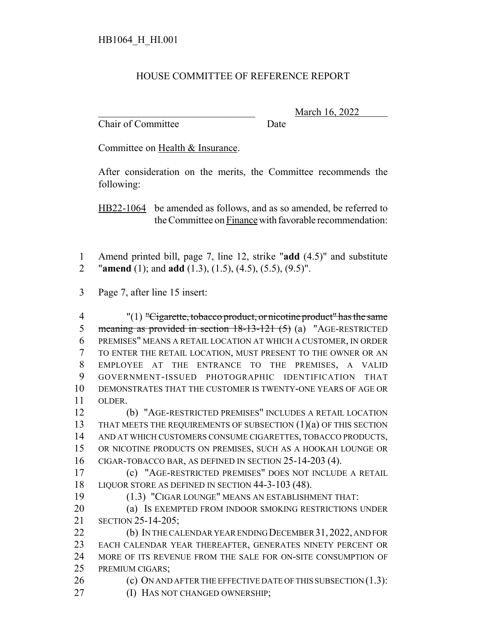## HOUSE COMMITTEE OF REFERENCE REPORT

Chair of Committee Date

\_\_\_\_\_\_\_\_\_\_\_\_\_\_\_\_\_\_\_\_\_\_\_\_\_\_\_\_\_\_\_ March 16, 2022

Committee on Health & Insurance.

After consideration on the merits, the Committee recommends the following:

HB22-1064 be amended as follows, and as so amended, be referred to the Committee on Finance with favorable recommendation:

- Amend printed bill, page 7, line 12, strike "**add** (4.5)" and substitute "**amend** (1); and **add** (1.3), (1.5), (4.5), (5.5), (9.5)".
- Page 7, after line 15 insert:

 "(1) "Cigarette, tobacco product, or nicotine product" has the same 5 meaning as provided in section 18-13-121 (5) (a) "AGE-RESTRICTED PREMISES" MEANS A RETAIL LOCATION AT WHICH A CUSTOMER, IN ORDER TO ENTER THE RETAIL LOCATION, MUST PRESENT TO THE OWNER OR AN EMPLOYEE AT THE ENTRANCE TO THE PREMISES, A VALID GOVERNMENT-ISSUED PHOTOGRAPHIC IDENTIFICATION THAT DEMONSTRATES THAT THE CUSTOMER IS TWENTY-ONE YEARS OF AGE OR OLDER.

 (b) "AGE-RESTRICTED PREMISES" INCLUDES A RETAIL LOCATION 13 THAT MEETS THE REQUIREMENTS OF SUBSECTION (1)(a) OF THIS SECTION AND AT WHICH CUSTOMERS CONSUME CIGARETTES, TOBACCO PRODUCTS, OR NICOTINE PRODUCTS ON PREMISES, SUCH AS A HOOKAH LOUNGE OR CIGAR-TOBACCO BAR, AS DEFINED IN SECTION 25-14-203 (4).

 (c) "AGE-RESTRICTED PREMISES" DOES NOT INCLUDE A RETAIL 18 LIQUOR STORE AS DEFINED IN SECTION 44-3-103 (48).

(1.3) "CIGAR LOUNGE" MEANS AN ESTABLISHMENT THAT:

**(a) IS EXEMPTED FROM INDOOR SMOKING RESTRICTIONS UNDER** SECTION 25-14-205;

22 (b) IN THE CALENDAR YEAR ENDING DECEMBER 31, 2022, AND FOR EACH CALENDAR YEAR THEREAFTER, GENERATES NINETY PERCENT OR MORE OF ITS REVENUE FROM THE SALE FOR ON-SITE CONSUMPTION OF PREMIUM CIGARS;

26 (c) ON AND AFTER THE EFFECTIVE DATE OF THIS SUBSECTION (1.3):

**(I) HAS NOT CHANGED OWNERSHIP;**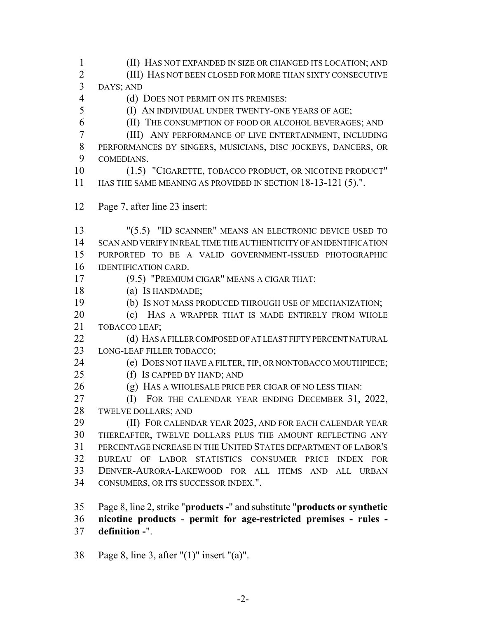(II) HAS NOT EXPANDED IN SIZE OR CHANGED ITS LOCATION; AND (III) HAS NOT BEEN CLOSED FOR MORE THAN SIXTY CONSECUTIVE DAYS; AND (d) DOES NOT PERMIT ON ITS PREMISES: (I) AN INDIVIDUAL UNDER TWENTY-ONE YEARS OF AGE; (II) THE CONSUMPTION OF FOOD OR ALCOHOL BEVERAGES; AND (III) ANY PERFORMANCE OF LIVE ENTERTAINMENT, INCLUDING PERFORMANCES BY SINGERS, MUSICIANS, DISC JOCKEYS, DANCERS, OR COMEDIANS. (1.5) "CIGARETTE, TOBACCO PRODUCT, OR NICOTINE PRODUCT" 11 HAS THE SAME MEANING AS PROVIDED IN SECTION 18-13-121 (5).". Page 7, after line 23 insert: "(5.5) "ID SCANNER" MEANS AN ELECTRONIC DEVICE USED TO SCAN AND VERIFY IN REAL TIME THE AUTHENTICITY OF AN IDENTIFICATION PURPORTED TO BE A VALID GOVERNMENT-ISSUED PHOTOGRAPHIC IDENTIFICATION CARD. (9.5) "PREMIUM CIGAR" MEANS A CIGAR THAT: (a) IS HANDMADE; (b) IS NOT MASS PRODUCED THROUGH USE OF MECHANIZATION; 20 (c) HAS A WRAPPER THAT IS MADE ENTIRELY FROM WHOLE TOBACCO LEAF; 22 (d) HAS A FILLER COMPOSED OF AT LEAST FIFTY PERCENT NATURAL LONG-LEAF FILLER TOBACCO; 24 (e) DOES NOT HAVE A FILTER, TIP, OR NONTOBACCO MOUTHPIECE; (f) IS CAPPED BY HAND; AND 26 (g) HAS A WHOLESALE PRICE PER CIGAR OF NO LESS THAN: (I) FOR THE CALENDAR YEAR ENDING DECEMBER 31, 2022, TWELVE DOLLARS; AND (II) FOR CALENDAR YEAR 2023, AND FOR EACH CALENDAR YEAR THEREAFTER, TWELVE DOLLARS PLUS THE AMOUNT REFLECTING ANY PERCENTAGE INCREASE IN THE UNITED STATES DEPARTMENT OF LABOR'S BUREAU OF LABOR STATISTICS CONSUMER PRICE INDEX FOR DENVER-AURORA-LAKEWOOD FOR ALL ITEMS AND ALL URBAN CONSUMERS, OR ITS SUCCESSOR INDEX.". Page 8, line 2, strike "**products -**" and substitute "**products or synthetic nicotine products** - **permit for age-restricted premises - rules - definition -**".

Page 8, line 3, after "(1)" insert "(a)".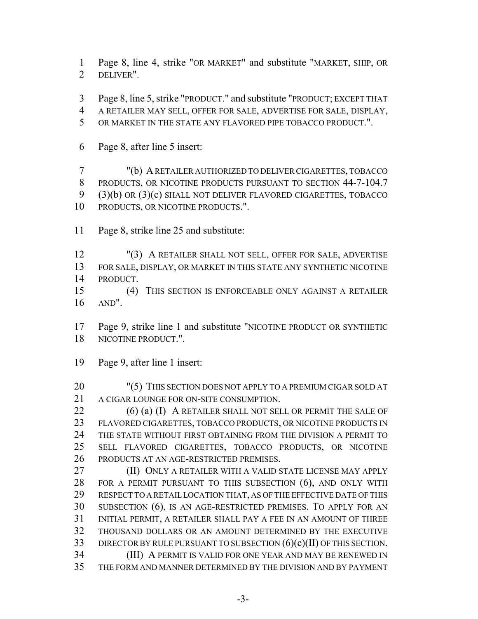Page 8, line 4, strike "OR MARKET" and substitute "MARKET, SHIP, OR DELIVER".

Page 8, line 5, strike "PRODUCT." and substitute "PRODUCT; EXCEPT THAT

A RETAILER MAY SELL, OFFER FOR SALE, ADVERTISE FOR SALE, DISPLAY,

OR MARKET IN THE STATE ANY FLAVORED PIPE TOBACCO PRODUCT.".

Page 8, after line 5 insert:

 "(b) A RETAILER AUTHORIZED TO DELIVER CIGARETTES, TOBACCO 8 PRODUCTS, OR NICOTINE PRODUCTS PURSUANT TO SECTION 44-7-104.7 (3)(b) OR (3)(c) SHALL NOT DELIVER FLAVORED CIGARETTES, TOBACCO 10 PRODUCTS, OR NICOTINE PRODUCTS.".

Page 8, strike line 25 and substitute:

 "(3) A RETAILER SHALL NOT SELL, OFFER FOR SALE, ADVERTISE FOR SALE, DISPLAY, OR MARKET IN THIS STATE ANY SYNTHETIC NICOTINE PRODUCT.

 (4) THIS SECTION IS ENFORCEABLE ONLY AGAINST A RETAILER AND".

 Page 9, strike line 1 and substitute "NICOTINE PRODUCT OR SYNTHETIC NICOTINE PRODUCT.".

Page 9, after line 1 insert:

 "(5) THIS SECTION DOES NOT APPLY TO A PREMIUM CIGAR SOLD AT A CIGAR LOUNGE FOR ON-SITE CONSUMPTION.

22 (6) (a) (I) A RETAILER SHALL NOT SELL OR PERMIT THE SALE OF FLAVORED CIGARETTES, TOBACCO PRODUCTS, OR NICOTINE PRODUCTS IN THE STATE WITHOUT FIRST OBTAINING FROM THE DIVISION A PERMIT TO SELL FLAVORED CIGARETTES, TOBACCO PRODUCTS, OR NICOTINE PRODUCTS AT AN AGE-RESTRICTED PREMISES.

 (II) ONLY A RETAILER WITH A VALID STATE LICENSE MAY APPLY FOR A PERMIT PURSUANT TO THIS SUBSECTION (6), AND ONLY WITH RESPECT TO A RETAIL LOCATION THAT, AS OF THE EFFECTIVE DATE OF THIS SUBSECTION (6), IS AN AGE-RESTRICTED PREMISES. TO APPLY FOR AN INITIAL PERMIT, A RETAILER SHALL PAY A FEE IN AN AMOUNT OF THREE THOUSAND DOLLARS OR AN AMOUNT DETERMINED BY THE EXECUTIVE 33 DIRECTOR BY RULE PURSUANT TO SUBSECTION  $(6)(c)(II)$  OF THIS SECTION. (III) A PERMIT IS VALID FOR ONE YEAR AND MAY BE RENEWED IN THE FORM AND MANNER DETERMINED BY THE DIVISION AND BY PAYMENT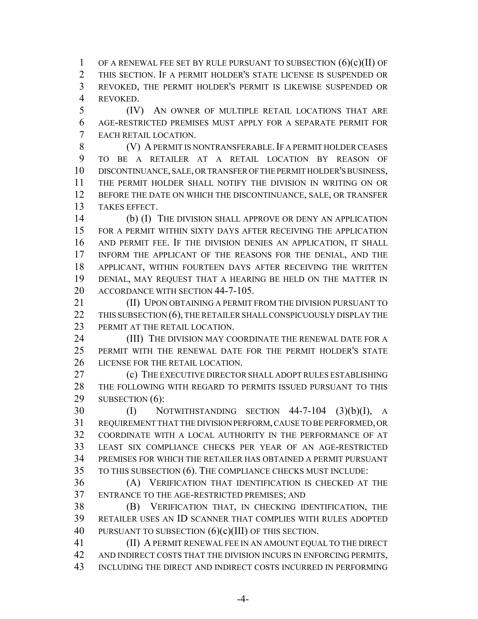1 OF A RENEWAL FEE SET BY RULE PURSUANT TO SUBSECTION  $(6)(c)(II)$  OF THIS SECTION. IF A PERMIT HOLDER'S STATE LICENSE IS SUSPENDED OR REVOKED, THE PERMIT HOLDER'S PERMIT IS LIKEWISE SUSPENDED OR REVOKED.

 (IV) AN OWNER OF MULTIPLE RETAIL LOCATIONS THAT ARE AGE-RESTRICTED PREMISES MUST APPLY FOR A SEPARATE PERMIT FOR EACH RETAIL LOCATION.

8 (V) A PERMIT IS NONTRANSFERABLE. IF A PERMIT HOLDER CEASES TO BE A RETAILER AT A RETAIL LOCATION BY REASON OF DISCONTINUANCE, SALE, OR TRANSFER OF THE PERMIT HOLDER'S BUSINESS, THE PERMIT HOLDER SHALL NOTIFY THE DIVISION IN WRITING ON OR BEFORE THE DATE ON WHICH THE DISCONTINUANCE, SALE, OR TRANSFER TAKES EFFECT.

 (b) (I) THE DIVISION SHALL APPROVE OR DENY AN APPLICATION FOR A PERMIT WITHIN SIXTY DAYS AFTER RECEIVING THE APPLICATION AND PERMIT FEE. IF THE DIVISION DENIES AN APPLICATION, IT SHALL INFORM THE APPLICANT OF THE REASONS FOR THE DENIAL, AND THE APPLICANT, WITHIN FOURTEEN DAYS AFTER RECEIVING THE WRITTEN DENIAL, MAY REQUEST THAT A HEARING BE HELD ON THE MATTER IN 20 ACCORDANCE WITH SECTION 44-7-105.

**III** UPON OBTAINING A PERMIT FROM THE DIVISION PURSUANT TO 22 THIS SUBSECTION (6), THE RETAILER SHALL CONSPICUOUSLY DISPLAY THE PERMIT AT THE RETAIL LOCATION.

24 (III) THE DIVISION MAY COORDINATE THE RENEWAL DATE FOR A PERMIT WITH THE RENEWAL DATE FOR THE PERMIT HOLDER'S STATE LICENSE FOR THE RETAIL LOCATION.

 (c) THE EXECUTIVE DIRECTOR SHALL ADOPT RULES ESTABLISHING THE FOLLOWING WITH REGARD TO PERMITS ISSUED PURSUANT TO THIS 29 SUBSECTION (6):

 (I) NOTWITHSTANDING SECTION 44-7-104 (3)(b)(I), A REQUIREMENT THAT THE DIVISION PERFORM, CAUSE TO BE PERFORMED, OR COORDINATE WITH A LOCAL AUTHORITY IN THE PERFORMANCE OF AT LEAST SIX COMPLIANCE CHECKS PER YEAR OF AN AGE-RESTRICTED PREMISES FOR WHICH THE RETAILER HAS OBTAINED A PERMIT PURSUANT TO THIS SUBSECTION (6). THE COMPLIANCE CHECKS MUST INCLUDE:

 (A) VERIFICATION THAT IDENTIFICATION IS CHECKED AT THE ENTRANCE TO THE AGE-RESTRICTED PREMISES; AND

 (B) VERIFICATION THAT, IN CHECKING IDENTIFICATION, THE RETAILER USES AN ID SCANNER THAT COMPLIES WITH RULES ADOPTED 40 PURSUANT TO SUBSECTION  $(6)(c)(III)$  OF THIS SECTION.

 (II) A PERMIT RENEWAL FEE IN AN AMOUNT EQUAL TO THE DIRECT AND INDIRECT COSTS THAT THE DIVISION INCURS IN ENFORCING PERMITS, INCLUDING THE DIRECT AND INDIRECT COSTS INCURRED IN PERFORMING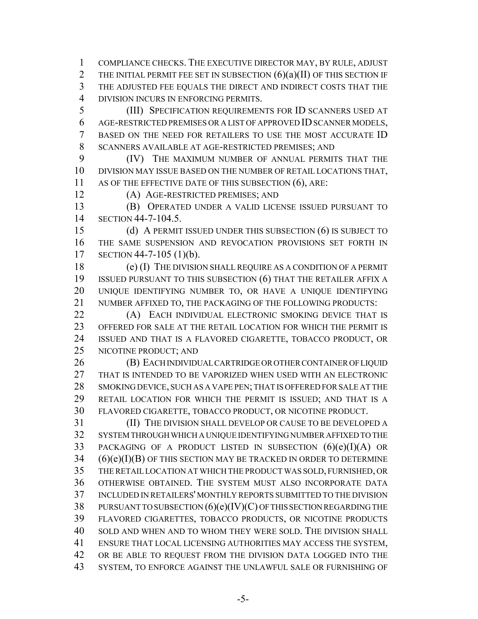COMPLIANCE CHECKS. THE EXECUTIVE DIRECTOR MAY, BY RULE, ADJUST 2 THE INITIAL PERMIT FEE SET IN SUBSECTION  $(6)(a)(II)$  OF THIS SECTION IF THE ADJUSTED FEE EQUALS THE DIRECT AND INDIRECT COSTS THAT THE DIVISION INCURS IN ENFORCING PERMITS.

 (III) SPECIFICATION REQUIREMENTS FOR ID SCANNERS USED AT AGE-RESTRICTED PREMISES OR A LIST OF APPROVED ID SCANNER MODELS, BASED ON THE NEED FOR RETAILERS TO USE THE MOST ACCURATE ID SCANNERS AVAILABLE AT AGE-RESTRICTED PREMISES; AND

 (IV) THE MAXIMUM NUMBER OF ANNUAL PERMITS THAT THE DIVISION MAY ISSUE BASED ON THE NUMBER OF RETAIL LOCATIONS THAT, 11 AS OF THE EFFECTIVE DATE OF THIS SUBSECTION (6), ARE:

(A) AGE-RESTRICTED PREMISES; AND

 (B) OPERATED UNDER A VALID LICENSE ISSUED PURSUANT TO SECTION 44-7-104.5.

 (d) A PERMIT ISSUED UNDER THIS SUBSECTION (6) IS SUBJECT TO THE SAME SUSPENSION AND REVOCATION PROVISIONS SET FORTH IN SECTION 44-7-105 (1)(b).

 (e) (I) THE DIVISION SHALL REQUIRE AS A CONDITION OF A PERMIT ISSUED PURSUANT TO THIS SUBSECTION (6) THAT THE RETAILER AFFIX A UNIQUE IDENTIFYING NUMBER TO, OR HAVE A UNIQUE IDENTIFYING NUMBER AFFIXED TO, THE PACKAGING OF THE FOLLOWING PRODUCTS:

**(A)** EACH INDIVIDUAL ELECTRONIC SMOKING DEVICE THAT IS OFFERED FOR SALE AT THE RETAIL LOCATION FOR WHICH THE PERMIT IS ISSUED AND THAT IS A FLAVORED CIGARETTE, TOBACCO PRODUCT, OR NICOTINE PRODUCT; AND

**(B) EACH INDIVIDUAL CARTRIDGE OR OTHER CONTAINER OF LIQUID**  THAT IS INTENDED TO BE VAPORIZED WHEN USED WITH AN ELECTRONIC SMOKING DEVICE, SUCH AS A VAPE PEN; THAT IS OFFERED FOR SALE AT THE RETAIL LOCATION FOR WHICH THE PERMIT IS ISSUED; AND THAT IS A FLAVORED CIGARETTE, TOBACCO PRODUCT, OR NICOTINE PRODUCT.

 (II) THE DIVISION SHALL DEVELOP OR CAUSE TO BE DEVELOPED A SYSTEM THROUGH WHICH A UNIQUE IDENTIFYING NUMBER AFFIXED TO THE PACKAGING OF A PRODUCT LISTED IN SUBSECTION (6)(e)(I)(A) OR (6)(e)(I)(B) OF THIS SECTION MAY BE TRACKED IN ORDER TO DETERMINE THE RETAIL LOCATION AT WHICH THE PRODUCT WAS SOLD, FURNISHED, OR OTHERWISE OBTAINED. THE SYSTEM MUST ALSO INCORPORATE DATA INCLUDED IN RETAILERS' MONTHLY REPORTS SUBMITTED TO THE DIVISION PURSUANT TO SUBSECTION (6)(e)(IV)(C) OF THIS SECTION REGARDING THE FLAVORED CIGARETTES, TOBACCO PRODUCTS, OR NICOTINE PRODUCTS SOLD AND WHEN AND TO WHOM THEY WERE SOLD. THE DIVISION SHALL ENSURE THAT LOCAL LICENSING AUTHORITIES MAY ACCESS THE SYSTEM, OR BE ABLE TO REQUEST FROM THE DIVISION DATA LOGGED INTO THE SYSTEM, TO ENFORCE AGAINST THE UNLAWFUL SALE OR FURNISHING OF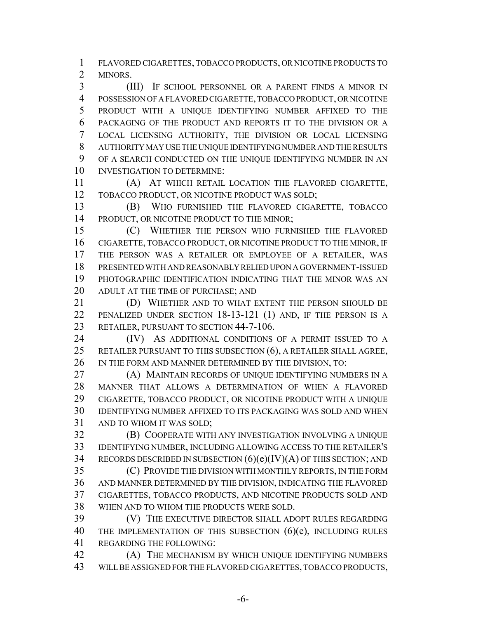FLAVORED CIGARETTES, TOBACCO PRODUCTS, OR NICOTINE PRODUCTS TO MINORS.

 (III) IF SCHOOL PERSONNEL OR A PARENT FINDS A MINOR IN POSSESSION OF A FLAVORED CIGARETTE, TOBACCO PRODUCT, OR NICOTINE PRODUCT WITH A UNIQUE IDENTIFYING NUMBER AFFIXED TO THE PACKAGING OF THE PRODUCT AND REPORTS IT TO THE DIVISION OR A LOCAL LICENSING AUTHORITY, THE DIVISION OR LOCAL LICENSING AUTHORITY MAY USE THE UNIQUE IDENTIFYING NUMBER AND THE RESULTS OF A SEARCH CONDUCTED ON THE UNIQUE IDENTIFYING NUMBER IN AN INVESTIGATION TO DETERMINE:

 (A) AT WHICH RETAIL LOCATION THE FLAVORED CIGARETTE, TOBACCO PRODUCT, OR NICOTINE PRODUCT WAS SOLD;

 (B) WHO FURNISHED THE FLAVORED CIGARETTE, TOBACCO 14 PRODUCT, OR NICOTINE PRODUCT TO THE MINOR;

 (C) WHETHER THE PERSON WHO FURNISHED THE FLAVORED CIGARETTE, TOBACCO PRODUCT, OR NICOTINE PRODUCT TO THE MINOR, IF THE PERSON WAS A RETAILER OR EMPLOYEE OF A RETAILER, WAS PRESENTED WITH AND REASONABLY RELIED UPON A GOVERNMENT-ISSUED PHOTOGRAPHIC IDENTIFICATION INDICATING THAT THE MINOR WAS AN ADULT AT THE TIME OF PURCHASE; AND

 (D) WHETHER AND TO WHAT EXTENT THE PERSON SHOULD BE PENALIZED UNDER SECTION 18-13-121 (1) AND, IF THE PERSON IS A 23 RETAILER, PURSUANT TO SECTION 44-7-106.

24 (IV) AS ADDITIONAL CONDITIONS OF A PERMIT ISSUED TO A RETAILER PURSUANT TO THIS SUBSECTION (6), A RETAILER SHALL AGREE, 26 IN THE FORM AND MANNER DETERMINED BY THE DIVISION, TO:

 (A) MAINTAIN RECORDS OF UNIQUE IDENTIFYING NUMBERS IN A MANNER THAT ALLOWS A DETERMINATION OF WHEN A FLAVORED CIGARETTE, TOBACCO PRODUCT, OR NICOTINE PRODUCT WITH A UNIQUE IDENTIFYING NUMBER AFFIXED TO ITS PACKAGING WAS SOLD AND WHEN AND TO WHOM IT WAS SOLD;

 (B) COOPERATE WITH ANY INVESTIGATION INVOLVING A UNIQUE IDENTIFYING NUMBER, INCLUDING ALLOWING ACCESS TO THE RETAILER'S 34 RECORDS DESCRIBED IN SUBSECTION  $(6)(e)(IV)(A)$  OF THIS SECTION; AND

 (C) PROVIDE THE DIVISION WITH MONTHLY REPORTS, IN THE FORM AND MANNER DETERMINED BY THE DIVISION, INDICATING THE FLAVORED CIGARETTES, TOBACCO PRODUCTS, AND NICOTINE PRODUCTS SOLD AND WHEN AND TO WHOM THE PRODUCTS WERE SOLD.

 (V) THE EXECUTIVE DIRECTOR SHALL ADOPT RULES REGARDING 40 THE IMPLEMENTATION OF THIS SUBSECTION (6)(e), INCLUDING RULES REGARDING THE FOLLOWING:

**(A)** THE MECHANISM BY WHICH UNIQUE IDENTIFYING NUMBERS WILL BE ASSIGNED FOR THE FLAVORED CIGARETTES, TOBACCO PRODUCTS,